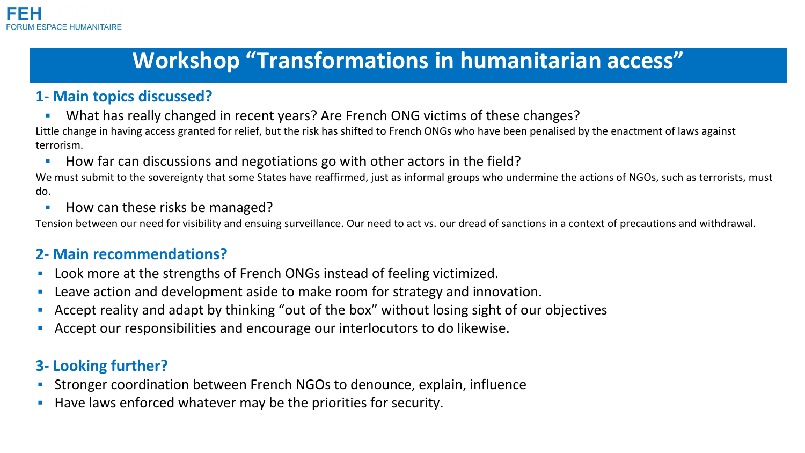# **Workshop "Transformations in humanitarian access"**

### **1- Main topics discussed?**

**• What has really changed in recent years? Are French ONG victims of these changes?** 

Little change in having access granted for relief, but the risk has shifted to French ONGs who have been penalised by the enactment of laws against terrorism.

■ How far can discussions and negotiations go with other actors in the field?

We must submit to the sovereignty that some States have reaffirmed, just as informal groups who undermine the actions of NGOs, such as terrorists, must do.

■ How can these risks be managed?

Tension between our need for visibility and ensuing surveillance. Our need to act vs. our dread of sanctions in a context of precautions and withdrawal.

### **2- Main recommendations?**

- Look more at the strengths of French ONGs instead of feeling victimized.
- Leave action and development aside to make room for strategy and innovation.
- **EXECT** Accept reality and adapt by thinking "out of the box" without losing sight of our objectives
- Accept our responsibilities and encourage our interlocutors to do likewise.

## **3- Looking further?**

- **EXTED Stronger coordination between French NGOs to denounce, explain, influence**
- Have laws enforced whatever may be the priorities for security.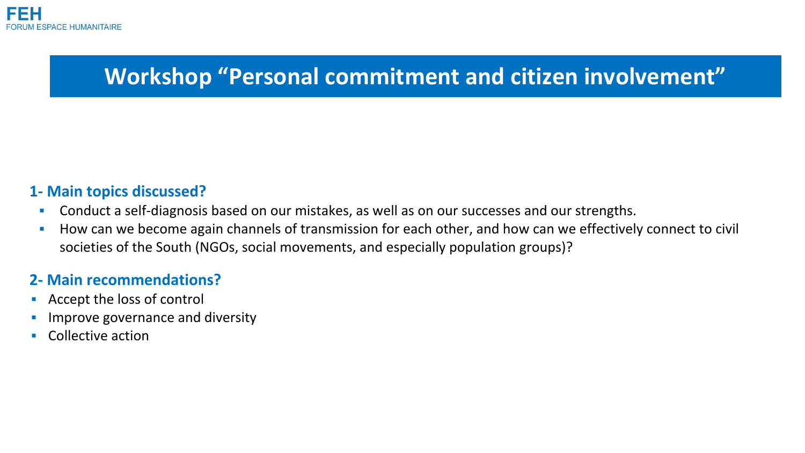

## **Workshop "Personal commitment and citizen involvement"**

#### **1- Main topics discussed?**

- **EXP** Conduct a self-diagnosis based on our mistakes, as well as on our successes and our strengths.
- How can we become again channels of transmission for each other, and how can we effectively connect to civil societies of the South (NGOs, social movements, and especially population groups)?

#### **2- Main recommendations?**

- Accept the loss of control
- Improve governance and diversity
- Collective action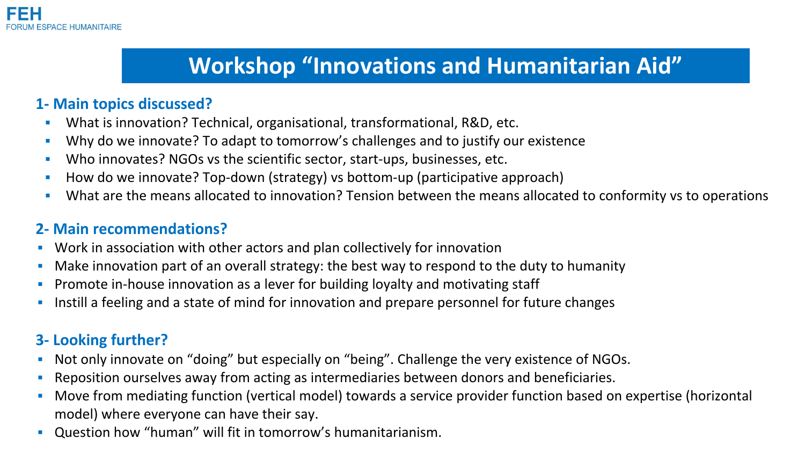# **Workshop "Innovations and Humanitarian Aid"**

### **1- Main topics discussed?**

- **What is innovation? Technical, organisational, transformational, R&D, etc.**
- **·** Why do we innovate? To adapt to tomorrow's challenges and to justify our existence
- **Who innovates? NGOs vs the scientific sector, start-ups, businesses, etc.**
- How do we innovate? Top-down (strategy) vs bottom-up (participative approach)
- **•** What are the means allocated to innovation? Tension between the means allocated to conformity vs to operations

### **2- Main recommendations?**

- **Work in association with other actors and plan collectively for innovation**
- **Make innovation part of an overall strategy: the best way to respond to the duty to humanity**
- **•** Promote in-house innovation as a lever for building loyalty and motivating staff
- **Instill a feeling and a state of mind for innovation and prepare personnel for future changes**

## **3- Looking further?**

- Not only innovate on "doing" but especially on "being". Challenge the very existence of NGOs.
- **Reposition ourselves away from acting as intermediaries between donors and beneficiaries.**
- **•** Move from mediating function (vertical model) towards a service provider function based on expertise (horizontal model) where everyone can have their say.
- Question how "human" will fit in tomorrow's humanitarianism.